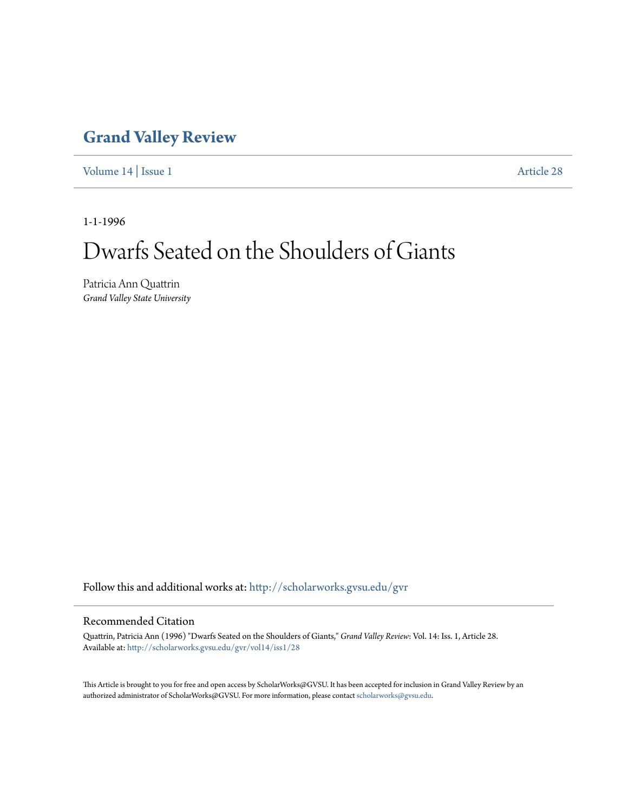### **[Grand Valley Review](http://scholarworks.gvsu.edu/gvr?utm_source=scholarworks.gvsu.edu%2Fgvr%2Fvol14%2Fiss1%2F28&utm_medium=PDF&utm_campaign=PDFCoverPages)**

[Volume 14](http://scholarworks.gvsu.edu/gvr/vol14?utm_source=scholarworks.gvsu.edu%2Fgvr%2Fvol14%2Fiss1%2F28&utm_medium=PDF&utm_campaign=PDFCoverPages) | [Issue 1](http://scholarworks.gvsu.edu/gvr/vol14/iss1?utm_source=scholarworks.gvsu.edu%2Fgvr%2Fvol14%2Fiss1%2F28&utm_medium=PDF&utm_campaign=PDFCoverPages) [Article 28](http://scholarworks.gvsu.edu/gvr/vol14/iss1/28?utm_source=scholarworks.gvsu.edu%2Fgvr%2Fvol14%2Fiss1%2F28&utm_medium=PDF&utm_campaign=PDFCoverPages)

1-1-1996

# Dwarfs Seated on the Shoulders of Giants

Patricia Ann Quattrin *Grand Valley State University*

Follow this and additional works at: [http://scholarworks.gvsu.edu/gvr](http://scholarworks.gvsu.edu/gvr?utm_source=scholarworks.gvsu.edu%2Fgvr%2Fvol14%2Fiss1%2F28&utm_medium=PDF&utm_campaign=PDFCoverPages)

#### Recommended Citation

Quattrin, Patricia Ann (1996) "Dwarfs Seated on the Shoulders of Giants," *Grand Valley Review*: Vol. 14: Iss. 1, Article 28. Available at: [http://scholarworks.gvsu.edu/gvr/vol14/iss1/28](http://scholarworks.gvsu.edu/gvr/vol14/iss1/28?utm_source=scholarworks.gvsu.edu%2Fgvr%2Fvol14%2Fiss1%2F28&utm_medium=PDF&utm_campaign=PDFCoverPages)

This Article is brought to you for free and open access by ScholarWorks@GVSU. It has been accepted for inclusion in Grand Valley Review by an authorized administrator of ScholarWorks@GVSU. For more information, please contact [scholarworks@gvsu.edu.](mailto:scholarworks@gvsu.edu)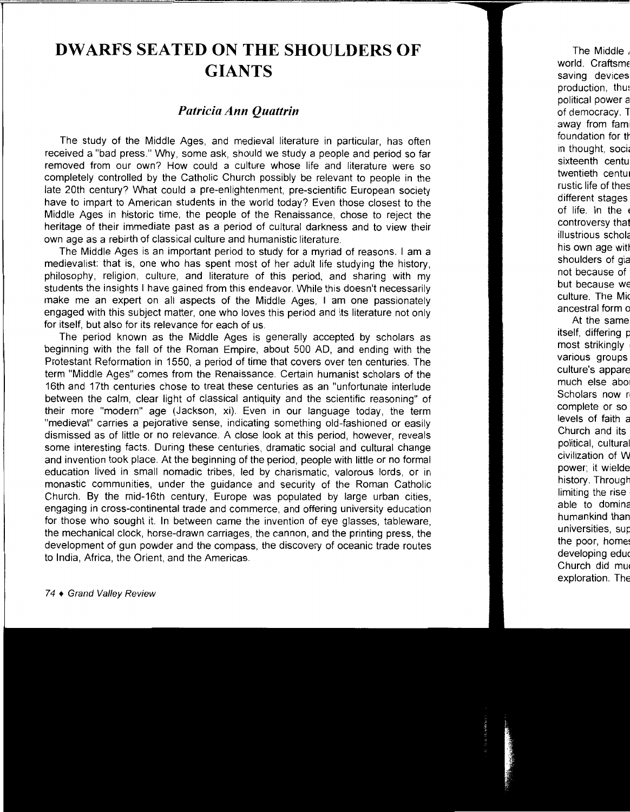## **DWARFS SEATED ON THE SHOULDERS OF GIANTS**

### *Patricia Ann Quattrin*

The study of the Middle Ages, and medieval literature in particular, has often received a "bad press." Why, some ask, should we study a people and period so far removed from our own? How could a culture whose life and literature were so completely controlled by the Catholic Church possibly be relevant to people in the late 20th century? What could a pre-enlightenment, pre-scientific European society have to impart to American students in the world today? Even those closest to the Middle Ages in historic time, the people of the Renaissance, chose to reject the heritage of their immediate past as a period of cultural darkness and to view their own age as a rebirth of classical culture and humanistic literature.

The Middle Ages is an important period to study for a myriad of reasons. 1 am a medievalist: that is, one who has spent most of her adult life studying the history, philosophy, religion, culture, and literature of this period, and sharing with my students the insights I have gained from this endeavor. While this doesn't necessarily make me an expert on all aspects of the Middle Ages, I am one passionately engaged with this subject matter, one who loves this period and its literature not only for itself, but also for its relevance for each of us.

The period known as the Middle Ages is generally accepted by scholars as beginning with the fall of the Roman Empire, about 500 AD, and ending with the Protestant Reformation in 1550, a period of time that covers over ten centuries. The term "Middle Ages" comes from the Renaissance. Certain humanist scholars of the 16th and 17th centuries chose to treat these centuries as an "unfortunate interlude between the calm, clear light of classical antiquity and the scientific reasoning" of their more "modern" age (Jackson, xi). Even in our language today, the term "medieval" carries a pejorative sense, indicating something old-fashioned or easily dismissed as of little or no relevance. A close look at this period, however, reveals some interesting facts. During these centuries, dramatic social and cultural change and invention took place. At the beginning of the period, people with little or no formal education lived in small nomadic tribes, led by charismatic, valorous lords, or in monastic communities, under the guidance and security of the Roman Catholic Church. By the mid-16th century, Europe was populated by large urban cities, engaging in cross-continental trade and commerce, and offering university education for those who sought it. In between came the invention of eye glasses, tableware, the mechanical clock, horse-drawn carriages, the cannon, and the printing press, the development of gun powder and the compass, the discovery of oceanic trade routes to India, Africa, the Orient, and the Americas.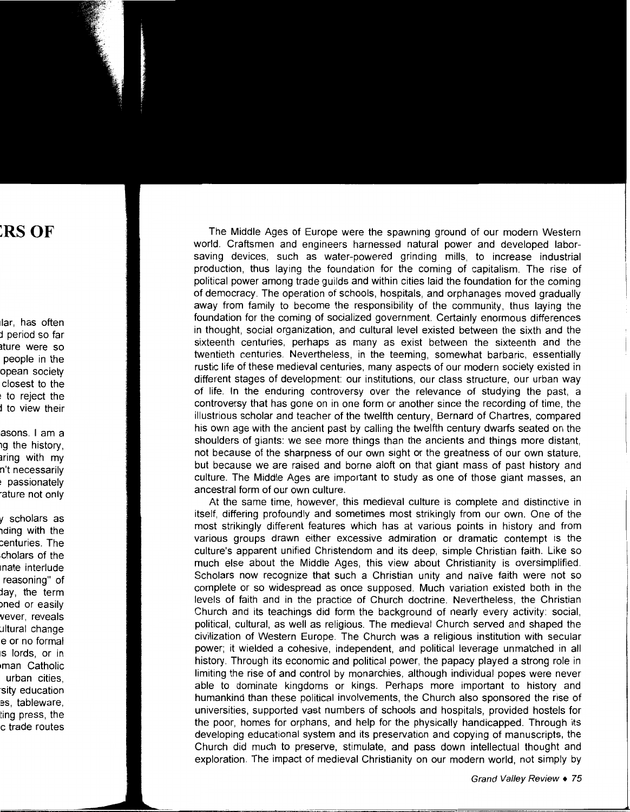The Middle Ages of Europe were the spawning ground of our modern Western world. Craftsmen and engineers harnessed natural power and developed laborsaving devices, such as water-powered grinding mills, to increase industrial production, thus laying the foundation for the coming of capitalism. The rise of political power among trade guilds and within cities laid the foundation for the coming of democracy. The operation of schools, hospitals, and orphanages moved gradually away from family to become the responsibility of the community, thus laying the foundation for the coming of socialized government. Certainly enormous differences in thought, social organization, and cultural level existed between the sixth and the sixteenth centuries, perhaps as many as exist between the sixteenth and the twentieth centuries. Nevertheless, in the teeming, somewhat barbaric, essentially rustic life of these medieval centuries, many aspects of our modern society existed in different stages of development: our institutions, our class structure, our urban way of life. In the enduring controversy over the relevance of studying the past, a controversy that has gone on in one form or another since the recording of time, the illustrious scholar and teacher of the twelfth century, Bernard of Chartres, compared his own age with the ancient past by calling the twelfth century dwarfs seated on the shoulders of giants: we see more things than the ancients and things more distant, not because of the sharpness of our own sight or the greatness of our own stature, but because we are raised and borne aloft on that giant mass of past history and culture. The Middle Ages are important to study as one of those giant masses, an ancestral form of our own culture.

At the same time, however, this medieval culture is complete and distinctive in itself, differing profoundly and sometimes most strikingly from our own. One of the most strikingly different features which has at various points in history and from various groups drawn either excessive admiration or dramatic contempt is the culture's apparent unified Christendom and its deep, simple Christian faith. Like so much else about the Middle Ages, this view about Christianity is oversimplified. Scholars now recognize that such a Christian unity and naïve faith were not so complete or so widespread as once supposed. Much variation existed both in the levels of faith and in the practice of Church doctrine. Nevertheless, the Christian Church and its teachings did form the background of nearly every activity: social, political, cultural, as well as religious. The medieval Church served and shaped the civilization of Western Europe. The Church was a religious institution with secular power; it wielded a cohesive, independent, and political leverage unmatched in all history. Through its economic and political power, the papacy played a strong role in limiting the rise of and control by monarchies, although individual popes were never able to dominate kingdoms or kings. Perhaps more important to history and humankind than these political involvements, the Church also sponsored the rise of universities, supported vast numbers of schools and hospitals, provided hostels for the poor, homes for orphans, and help for the physically handicapped. Through its developing educational system and its preservation and copying of manuscripts, the Church did much to preserve, stimulate, and pass down intellectual thought and exploration. The impact of medieval Christianity on our modern world, not simply by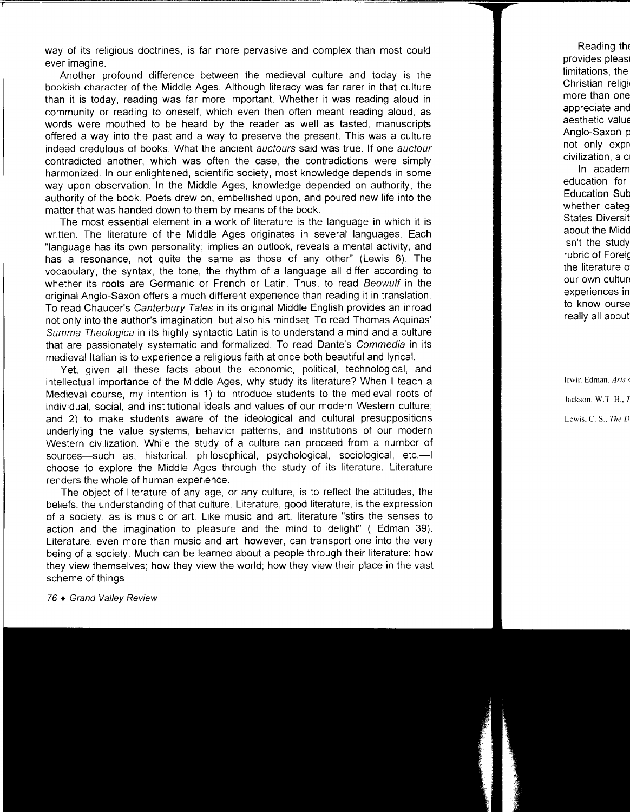way of its religious doctrines, is far more pervasive and complex than most could ever imagine.

Another profound difference between the medieval culture and today is the bookish character of the Middle Ages. Although literacy was far rarer in that culture than it is today, reading was far more important. Whether it was reading aloud in community or reading to oneself, which even then often meant reading aloud, as words were mouthed to be heard by the reader as well as tasted, manuscripts offered a way into the past and a way to preserve the present. This was a culture indeed credulous of books. What the ancient auctours said was true. If one auctour contradicted another, which was often the case, the contradictions were simply harmonized. In our enlightened, scientific society, most knowledge depends in some way upon observation. In the Middle Ages, knowledge depended on authority, the authority of the book. Poets drew on, embellished upon, and poured new life into the matter that was handed down to them by means of the book.

The most essential element in a work of literature is the language in which it is written. The literature of the Middle Ages originates in several languages. Each "language has its own personality; implies an outlook, reveals a mental activity, and has a resonance, not quite the same as those of any other" (Lewis 6). The vocabulary, the syntax, the tone, the rhythm of a language all differ according to whether its roots are Germanic or French or Latin. Thus, to read Beowulf in the original Anglo-Saxon offers a much different experience than reading it in translation. To read Chaucer's Canterbury Tales in its original Middle English provides an inroad not only into the author's imagination, but also his mindset. To read Thomas Aquinas' Summa Theologica in its highly syntactic Latin is to understand a mind and a culture that are passionately systematic and formalized. To read Dante's Commedia in its medieval Italian is to experience a religious faith at once both beautiful and lyrical.

Yet, given all these facts about the economic, political, technological, and intellectual importance of the Middle Ages, why study its literature? When I teach a Medieval course, my intention is 1) to introduce students to the medieval roots of individual, social, and institutional ideals and values of our modern Western culture; and 2) to make students aware of the ideological and cultural presuppositions underlying the value systems, behavior patterns, and institutions of our modern Western civilization. While the study of a culture can proceed from a number of sources-such as, historical, philosophical, psychological, sociological, etc.-choose to explore the Middle Ages through the study of its literature. Literature renders the whole of human experience.

The object of literature of any age, or any culture, is to reflect the attitudes, the beliefs, the understanding of that culture. Literature, good literature, is the expression of a society, as is music or art. Like music and art, literature "stirs the senses to action and the imagination to pleasure and the mind to delight" ( Edman 39). Literature, even more than music and art, however, can transport one into the very being of a society. Much can be learned about a people through their literature: how they view themselves; how they view the world; how they view their place in the vast scheme of things.